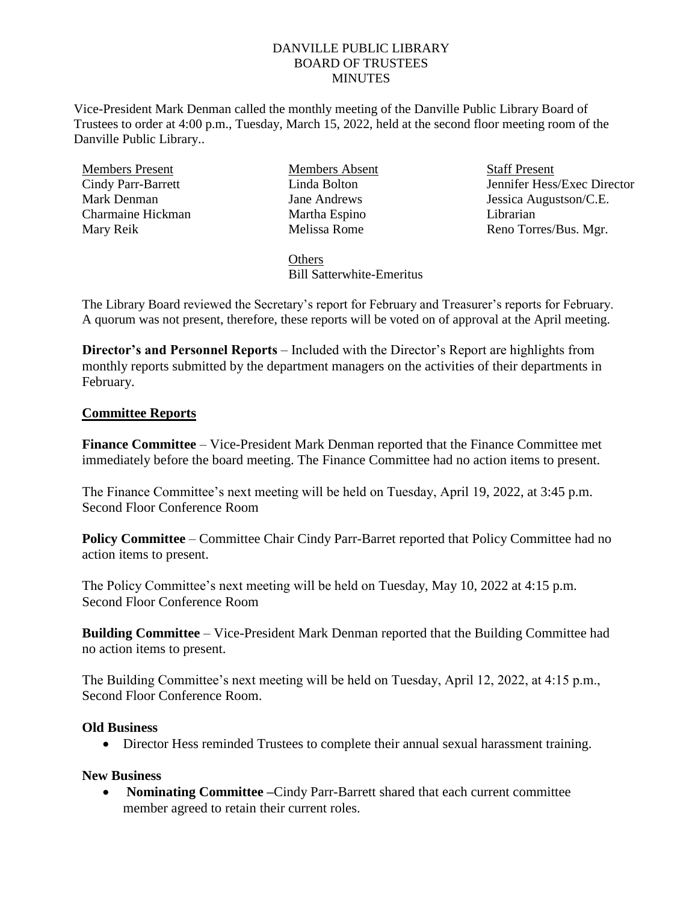## DANVILLE PUBLIC LIBRARY BOARD OF TRUSTEES **MINUTES**

Vice-President Mark Denman called the monthly meeting of the Danville Public Library Board of Trustees to order at 4:00 p.m., Tuesday, March 15, 2022, held at the second floor meeting room of the Danville Public Library..

Members Present Cindy Parr-Barrett Mark Denman Charmaine Hickman Mary Reik

Members Absent Linda Bolton Jane Andrews Martha Espino Melissa Rome

**Staff Present** Jennifer Hess/Exec Director Jessica Augustson/C.E. Librarian Reno Torres/Bus. Mgr.

**Others** Bill Satterwhite-Emeritus

The Library Board reviewed the Secretary's report for February and Treasurer's reports for February. A quorum was not present, therefore, these reports will be voted on of approval at the April meeting.

**Director's and Personnel Reports** – Included with the Director's Report are highlights from monthly reports submitted by the department managers on the activities of their departments in February.

## **Committee Reports**

**Finance Committee** – Vice-President Mark Denman reported that the Finance Committee met immediately before the board meeting. The Finance Committee had no action items to present.

The Finance Committee's next meeting will be held on Tuesday, April 19, 2022, at 3:45 p.m. Second Floor Conference Room

**Policy Committee** – Committee Chair Cindy Parr-Barret reported that Policy Committee had no action items to present.

The Policy Committee's next meeting will be held on Tuesday, May 10, 2022 at 4:15 p.m. Second Floor Conference Room

**Building Committee** – Vice-President Mark Denman reported that the Building Committee had no action items to present.

The Building Committee's next meeting will be held on Tuesday, April 12, 2022, at 4:15 p.m., Second Floor Conference Room.

## **Old Business**

Director Hess reminded Trustees to complete their annual sexual harassment training.

## **New Business**

 **Nominating Committee –**Cindy Parr-Barrett shared that each current committee member agreed to retain their current roles.